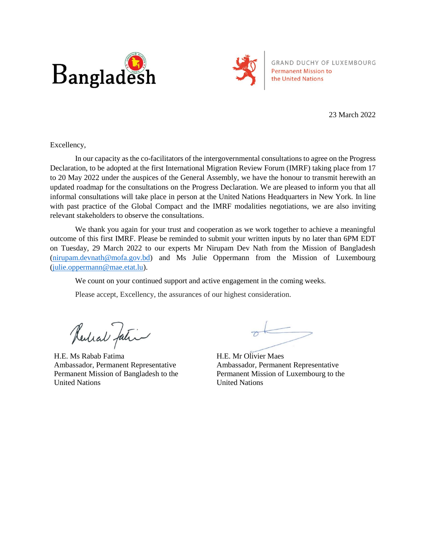



GRAND DUCHY OF LUXEMBOURG **Permanent Mission to** the United Nations

23 March 2022

Excellency,

In our capacity as the co-facilitators of the intergovernmental consultations to agree on the Progress Declaration, to be adopted at the first International Migration Review Forum (IMRF) taking place from 17 to 20 May 2022 under the auspices of the General Assembly, we have the honour to transmit herewith an updated roadmap for the consultations on the Progress Declaration. We are pleased to inform you that all informal consultations will take place in person at the United Nations Headquarters in New York. In line with past practice of the Global Compact and the IMRF modalities negotiations, we are also inviting relevant stakeholders to observe the consultations.

We thank you again for your trust and cooperation as we work together to achieve a meaningful outcome of this first IMRF. Please be reminded to submit your written inputs by no later than 6PM EDT on Tuesday, 29 March 2022 to our experts Mr Nirupam Dev Nath from the Mission of Bangladesh [\(nirupam.devnath@mofa.gov.bd\)](mailto:nirupam.devnath@mofa.gov.bd) and Ms Julie Oppermann from the Mission of Luxembourg [\(julie.oppermann@mae.etat.lu\)](mailto:julie.oppermann@mae.etat.lu).

We count on your continued support and active engagement in the coming weeks.

Please accept, Excellency, the assurances of our highest consideration.

Redial Jatin

H.E. Ms Rabab Fatima Ambassador, Permanent Representative Permanent Mission of Bangladesh to the United Nations

H.E. Mr Olivier Maes Ambassador, Permanent Representative Permanent Mission of Luxembourg to the United Nations